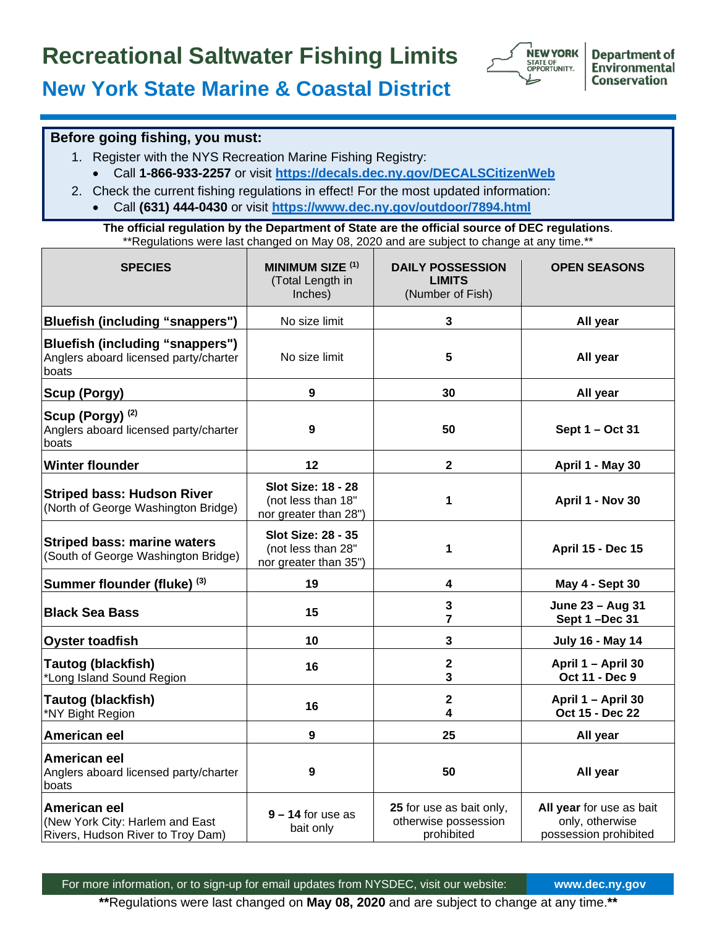## **Recreational Saltwater Fishing Limits**



**Department of Environmental Conservation** 

## **New York State Marine & Coastal District**

## **Before going fishing, you must:**

- 1. Register with the NYS Recreation Marine Fishing Registry:
	- Call **1-866-933-2257** or visit **<https://decals.dec.ny.gov/DECALSCitizenWeb>**
- 2. Check the current fishing regulations in effect! For the most updated information:
	- Call **(631) 444-0430** or visit **<https://www.dec.ny.gov/outdoor/7894.html>**

**The official regulation by the Department of State are the official source of DEC regulations**. \*\*Regulations were last changed on May 08, 2020 and are subject to change at any time.\*\*

| <b>SPECIES</b>                                                                       | <b>MINIMUM SIZE (1)</b><br>(Total Length in<br>Inches)                   | <b>DAILY POSSESSION</b><br><b>LIMITS</b><br>(Number of Fish)   | <b>OPEN SEASONS</b>                                                  |
|--------------------------------------------------------------------------------------|--------------------------------------------------------------------------|----------------------------------------------------------------|----------------------------------------------------------------------|
| Bluefish (including "snappers")                                                      | No size limit                                                            | 3                                                              | All year                                                             |
| Bluefish (including "snappers")<br>Anglers aboard licensed party/charter<br>boats    | No size limit                                                            | 5                                                              | All year                                                             |
| <b>Scup (Porgy)</b>                                                                  | 9                                                                        | 30                                                             | All year                                                             |
| Scup (Porgy) <sup>(2)</sup><br>Anglers aboard licensed party/charter<br>boats        | 9                                                                        | 50                                                             | Sept 1 - Oct 31                                                      |
| <b>Winter flounder</b>                                                               | 12                                                                       | $\overline{2}$                                                 | April 1 - May 30                                                     |
| <b>Striped bass: Hudson River</b><br>(North of George Washington Bridge)             | <b>Slot Size: 18 - 28</b><br>(not less than 18"<br>nor greater than 28") | 1                                                              | April 1 - Nov 30                                                     |
| <b>Striped bass: marine waters</b><br>(South of George Washington Bridge)            | <b>Slot Size: 28 - 35</b><br>(not less than 28"<br>nor greater than 35") | 1                                                              | <b>April 15 - Dec 15</b>                                             |
| Summer flounder (fluke) (3)                                                          | 19                                                                       | 4                                                              | <b>May 4 - Sept 30</b>                                               |
| <b>Black Sea Bass</b>                                                                | 15                                                                       | 3<br>7                                                         | June 23 - Aug 31<br>Sept 1-Dec 31                                    |
| <b>Oyster toadfish</b>                                                               | 10                                                                       | 3                                                              | <b>July 16 - May 14</b>                                              |
| Tautog (blackfish)<br>*Long Island Sound Region                                      | 16                                                                       | $\mathbf 2$<br>3                                               | April 1 - April 30<br>Oct 11 - Dec 9                                 |
| Tautog (blackfish)<br>*NY Bight Region                                               | 16                                                                       | $\mathbf 2$<br>4                                               | April 1 - April 30<br>Oct 15 - Dec 22                                |
| American eel                                                                         | $\mathbf{9}$                                                             | 25                                                             | All year                                                             |
| American eel<br>Anglers aboard licensed party/charter<br>boats                       | 9                                                                        | 50                                                             | All year                                                             |
| American eel<br>(New York City: Harlem and East<br>Rivers, Hudson River to Troy Dam) | $9 - 14$ for use as<br>bait only                                         | 25 for use as bait only,<br>otherwise possession<br>prohibited | All year for use as bait<br>only, otherwise<br>possession prohibited |

**\*\***Regulations were last changed on **May 08, 2020** and are subject to change at any time.**\*\***